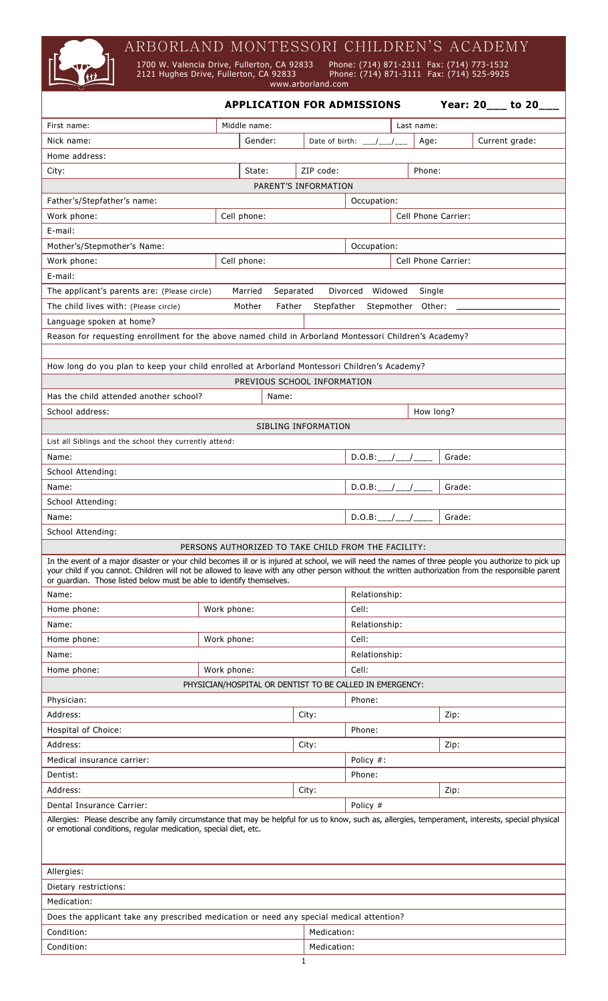ARBORLAND MONTESSORI CHILDREN'S ACADEMY

1700 W. Valencia Drive, Fullerton, CA 92833 Phon<br>2121 Hughes Drive, Fullerton, CA 92833 Phon<br>www.arborland.com

 1700 W. Valencia Drive, Fullerton, CA 92833 Phone: (714) 871-2311 Fax: (714) 773-1532 **2213 1221 Hughes Drive, Fullerton, CA 92833** Phone: (714) 871-3111 Fax: (714) 525-9925

 **APPLICATION FOR ADMISSIONS Year: 20\_\_\_ to 20\_\_\_** First name:  $\begin{array}{|c|c|c|c|c|c|}\n\hline\n\end{array}$  Middle name:  $\begin{array}{|c|c|c|c|c|c|c|c|}\n\hline\n\end{array}$  Last name: Nick name:  $\vert$  Gender:  $\vert$  Date of birth: \_\_\_/\_\_\_/\_\_\_ | Age:  $\vert$  Current grade: Home address: City: State: ZIP code: Phone: PARENT'S INFORMATION Father's/Stepfather's name:  $\vert$  Occupation: Work phone: Cell phone: Cell Phone Carrier: E-mail: Mother's/Stepmother's Name: and a set of comparison: a set of comparison: Work phone:  $\vert$  Cell phone:  $\vert$  Cell Phone Carrier: E-mail: The applicant's parents are: (Please circle) Married Separated Divorced Widowed Single The child lives with: (Please circle) Mother Father Stepfather Stepmother Other: Language spoken at home? Reason for requesting enrollment for the above named child in Arborland Montessori Children's Academy? How long do you plan to keep your child enrolled at Arborland Montessori Children's Academy? PREVIOUS SCHOOL INFORMATION Has the child attended another school? Name: School address: Notice and the set of the set of the set of the set of the set of the set of the set of the set of the set of the set of the set of the set of the set of the set of the set of the set of the set of the set SIBLING INFORMATION List all Siblings and the school they currently attend: Name: D.O.B:\_\_\_/\_\_\_/\_\_\_\_ Grade: School Attending: Name: D.O.B:\_\_\_/\_\_\_/\_\_\_\_ Grade: School Attending: Name: D.O.B:\_\_\_/\_\_\_/\_\_\_\_ Grade: School Attending: PERSONS AUTHORIZED TO TAKE CHILD FROM THE FACILITY: In the event of a major disaster or your child becomes ill or is injured at school, we will need the names of three people you authorize to pick up your child if you cannot. Children will not be allowed to leave with any other person without the written authorization from the responsible parent or guardian. Those listed below must be able to identify themselves. Name: Relationship: Relationship: Home phone:  $|$  Work phone:  $|$  Cell: Name: Name: Relationship: Name: Relationship: Name: Relationship: Relationship: Relationship: Relationship: Relationship: Relationship: Relationship: Relationship: Relationship: Relationship: Relationship: Relationship: Re Home phone:  $|$  Work phone:  $|$  Cell: Name: Relationship: Relationship: Relationship: Relationship: Relationship: Relationship: Relationship: Relationship: Relationship: Relationship: Relationship: Relationship: Relationship: Relationship: Relationship: Relati Home phone:  $\vert$  Work phone:  $\vert$  Cell: PHYSICIAN/HOSPITAL OR DENTIST TO BE CALLED IN EMERGENCY: Physician: Physician: Phone: Phone: Phone: Phone: Phone: Phone: Phone: Phone: Phone: Phone: Phone: Phone: Phone: Phone: Phone: Phone: Phone: Phone: Phone: Phone: Phone: Phone: Phone: Phone: Phone: Phone: Phone: Phone: Phon Address: City: Zip: Hospital of Choice: Phone: Phone: Phone: Phone: Phone: Phone: Phone: Phone: Phone: Phone: Phone: Phone: Phone: Phone: Phone: Phone: Phone: Phone: Phone: Phone: Phone: Phone: Phone: Phone: Phone: Phone: Phone: Phone: Phone: Address: City: Zip: Medical insurance carrier:  $\vert$  Policy #: Dentist: Phone: Address: City: Zip: Dental Insurance Carrier: Policy # Allergies: Please describe any family circumstance that may be helpful for us to know, such as, allergies, temperament, interests, special physical or emotional conditions, regular medication, special diet, etc. Allergies: Dietary restrictions: Medication: Does the applicant take any prescribed medication or need any special medical attention? **Condition:** Medication:

Condition: Network and American condition: